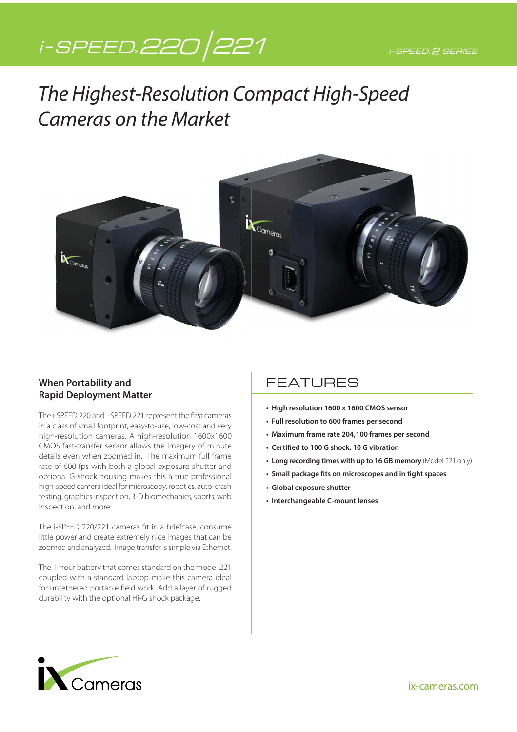# i-SPEED.220/221

# The Highest-Resolution Compact High-Speed Cameras on the Market



#### **When Portability and Rapid Deployment Matter**

The i-SPEED 220 and i-SPEED 221 represent the first cameras in a class of small footprint, easy-to-use, low-cost and very high-resolution cameras. A high-resolution 1600x1600 CMOS fast-transfer sensor allows the imagery of minute details even when zoomed in. The maximum full frame rate of 600 fps with both a global exposure shutter and optional G-shock housing makes this a true professional high-speed camera ideal for microscopy, robotics, auto-crash testing, graphics inspection, 3-D biomechanics, sports, web inspection, and more.

The i-SPEED 220/221 cameras fit in a briefcase, consume little power and create extremely nice images that can be zoomed and analyzed. Image transfer is simple via Ethernet.

The 1-hour battery that comes standard on the model 221 coupled with a standard laptop make this camera ideal for untethered portable field work. Add a layer of rugged durability with the optional Hi-G shock package.

### FEATURES

- **High resolution 1600 x 1600 CMOS sensor**
- **Full resolution to 600 frames per second**
- **Maximum frame rate 204,100 frames per second**
- **Certified to 100 G shock, 10 G vibration**
- **Long recording times with up to 16 GB memory** (Model 221 only)
- **Small package fits on microscopes and in tight spaces**
- **Global exposure shutter**
- **Interchangeable C-mount lenses**